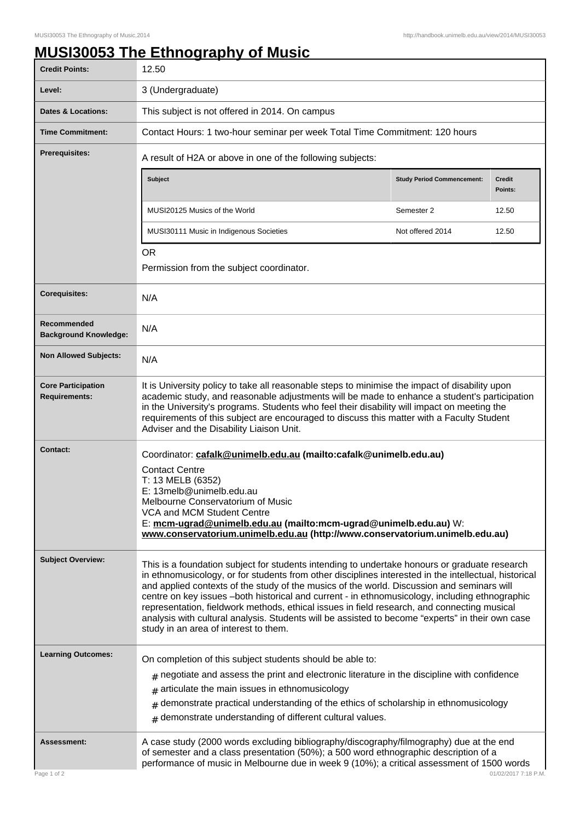## **MUSI30053 The Ethnography of Music**

| <b>Credit Points:</b>                             | 12.50                                                                                                                                                                                                                                                                                                                                                                                                                                                                                                                                                                                                                                              |                                   |                          |
|---------------------------------------------------|----------------------------------------------------------------------------------------------------------------------------------------------------------------------------------------------------------------------------------------------------------------------------------------------------------------------------------------------------------------------------------------------------------------------------------------------------------------------------------------------------------------------------------------------------------------------------------------------------------------------------------------------------|-----------------------------------|--------------------------|
| Level:                                            | 3 (Undergraduate)                                                                                                                                                                                                                                                                                                                                                                                                                                                                                                                                                                                                                                  |                                   |                          |
| <b>Dates &amp; Locations:</b>                     | This subject is not offered in 2014. On campus                                                                                                                                                                                                                                                                                                                                                                                                                                                                                                                                                                                                     |                                   |                          |
| <b>Time Commitment:</b>                           | Contact Hours: 1 two-hour seminar per week Total Time Commitment: 120 hours                                                                                                                                                                                                                                                                                                                                                                                                                                                                                                                                                                        |                                   |                          |
| <b>Prerequisites:</b>                             | A result of H2A or above in one of the following subjects:                                                                                                                                                                                                                                                                                                                                                                                                                                                                                                                                                                                         |                                   |                          |
|                                                   | Subject                                                                                                                                                                                                                                                                                                                                                                                                                                                                                                                                                                                                                                            | <b>Study Period Commencement:</b> | <b>Credit</b><br>Points: |
|                                                   | MUSI20125 Musics of the World                                                                                                                                                                                                                                                                                                                                                                                                                                                                                                                                                                                                                      | Semester 2                        | 12.50                    |
|                                                   | MUSI30111 Music in Indigenous Societies                                                                                                                                                                                                                                                                                                                                                                                                                                                                                                                                                                                                            | Not offered 2014                  | 12.50                    |
|                                                   | <b>OR</b>                                                                                                                                                                                                                                                                                                                                                                                                                                                                                                                                                                                                                                          |                                   |                          |
|                                                   | Permission from the subject coordinator.                                                                                                                                                                                                                                                                                                                                                                                                                                                                                                                                                                                                           |                                   |                          |
| <b>Corequisites:</b>                              | N/A                                                                                                                                                                                                                                                                                                                                                                                                                                                                                                                                                                                                                                                |                                   |                          |
| Recommended<br><b>Background Knowledge:</b>       | N/A                                                                                                                                                                                                                                                                                                                                                                                                                                                                                                                                                                                                                                                |                                   |                          |
| <b>Non Allowed Subjects:</b>                      | N/A                                                                                                                                                                                                                                                                                                                                                                                                                                                                                                                                                                                                                                                |                                   |                          |
| <b>Core Participation</b><br><b>Requirements:</b> | It is University policy to take all reasonable steps to minimise the impact of disability upon<br>academic study, and reasonable adjustments will be made to enhance a student's participation<br>in the University's programs. Students who feel their disability will impact on meeting the<br>requirements of this subject are encouraged to discuss this matter with a Faculty Student<br>Adviser and the Disability Liaison Unit.                                                                                                                                                                                                             |                                   |                          |
| <b>Contact:</b>                                   | Coordinator: cafalk@unimelb.edu.au (mailto:cafalk@unimelb.edu.au)<br><b>Contact Centre</b><br>T: 13 MELB (6352)<br>E: 13melb@unimelb.edu.au<br>Melbourne Conservatorium of Music<br>VCA and MCM Student Centre<br>E: mcm-ugrad@unimelb.edu.au (mailto:mcm-ugrad@unimelb.edu.au) W:<br>www.conservatorium.unimelb.edu.au (http://www.conservatorium.unimelb.edu.au)                                                                                                                                                                                                                                                                                 |                                   |                          |
| <b>Subject Overview:</b>                          | This is a foundation subject for students intending to undertake honours or graduate research<br>in ethnomusicology, or for students from other disciplines interested in the intellectual, historical<br>and applied contexts of the study of the musics of the world. Discussion and seminars will<br>centre on key issues -both historical and current - in ethnomusicology, including ethnographic<br>representation, fieldwork methods, ethical issues in field research, and connecting musical<br>analysis with cultural analysis. Students will be assisted to become "experts" in their own case<br>study in an area of interest to them. |                                   |                          |
| <b>Learning Outcomes:</b>                         | On completion of this subject students should be able to:<br>$*$ negotiate and assess the print and electronic literature in the discipline with confidence<br>articulate the main issues in ethnomusicology<br>#<br>demonstrate practical understanding of the ethics of scholarship in ethnomusicology<br>#                                                                                                                                                                                                                                                                                                                                      |                                   |                          |
| <b>Assessment:</b><br>Page 1 of 2                 | demonstrate understanding of different cultural values.<br>$\pm$<br>A case study (2000 words excluding bibliography/discography/filmography) due at the end<br>of semester and a class presentation (50%); a 500 word ethnographic description of a<br>performance of music in Melbourne due in week 9 (10%); a critical assessment of 1500 words<br>01/02/2017 7:18 P.M.                                                                                                                                                                                                                                                                          |                                   |                          |